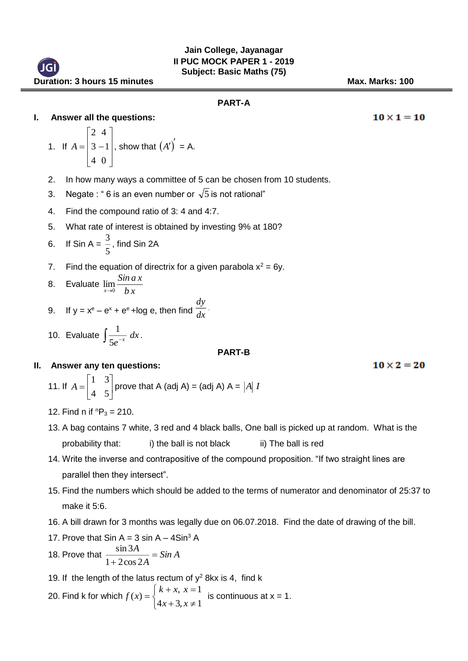$10 \times 1 = 10$ 

 $10 \times 2 = 20$ 

## **PART-A**

## **I. Answer all the questions:**

1. If 
$$
A = \begin{bmatrix} 2 & 4 \\ 3 & -1 \\ 4 & 0 \end{bmatrix}
$$
, show that  $(A')' = A$ .

2. In how many ways a committee of 5 can be chosen from 10 students.

 $\overline{d}$ 

- 3. Negate : " 6 is an even number or  $\sqrt{5}$  is not rational"
- 4. Find the compound ratio of 3: 4 and 4:7.
- 5. What rate of interest is obtained by investing 9% at 180?
- 6. If Sin A =  $\frac{5}{5}$  $\frac{3}{5}$ , find Sin 2A
- 7. Find the equation of directrix for a given parabola  $x^2 = 6y$ .

8. Evaluate 
$$
\lim_{x\to 0} \frac{\sin ax}{bx}
$$

9. If 
$$
y = x^e - e^x + e^e + \log e
$$
, then find  $\frac{dy}{dx}$ .

10. Evaluate  $\int \frac{1}{5e^{-x}} dx$ *e x* 5  $\frac{1}{x} dx$ .

#### **PART-B**

## **II. Answer any ten questions:**

11. If  $\overline{\phantom{a}}$  $\rfloor$ ⅂ L L  $=\begin{bmatrix} 1 & 3 \\ 4 & 5 \end{bmatrix}$ 1 3  $A = \begin{bmatrix} 1 & 1 \end{bmatrix}$  prove that A (adj A) = (adj A) A =  $|A|$  *I* 

- 12. Find n if  $P_3 = 210$ .
- 13. A bag contains 7 white, 3 red and 4 black balls, One ball is picked up at random. What is the probability that: i) the ball is not black ii) The ball is red
- 14. Write the inverse and contrapositive of the compound proposition. "If two straight lines are parallel then they intersect".
- 15. Find the numbers which should be added to the terms of numerator and denominator of 25:37 to make it 5:6.
- 16. A bill drawn for 3 months was legally due on 06.07.2018. Find the date of drawing of the bill.

17. Prove that 
$$
\sin A = 3 \sin A - 4 \sin^3 A
$$
  
\n18. Prove that  $\frac{\sin 3A}{1 + 2 \cos 2A} = \sin A$ 

- 19. If the length of the latus rectum of  $y^2$  8kx is 4, find k
- 20. Find k for which l ∤ ſ ≠  $=$  $^+$  $=\begin{cases} k + x, x = 1 \\ 4x + 3, x \neq 1 \end{cases}$ 1  $4x + 3$ ,  $f(x) = \begin{cases} x + 3, & x \\ 4x + 3, & x \end{cases}$ *x x k <sup>x</sup>*  $f(x) = \begin{cases} 0 & \text{if } x \neq 1. \end{cases}$  is continuous at  $x = 1$ .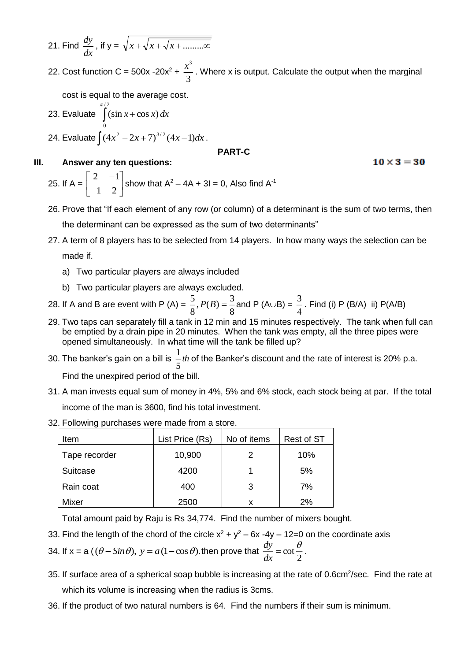21. Find  $\frac{dy}{dx}$  $\frac{dy}{dx}$ , if  $y = \sqrt{x + \sqrt{x + \sqrt{x + \dots} \cdot x}}$ 

22. Cost function C = 500x -20x<sup>2</sup> +  $\frac{\pi}{3}$  $\frac{x^3}{3}$ . Where x is output. Calculate the output when the marginal

cost is equal to the average cost.

23. Evaluate  $\int (\sin x +$ / 2  $\mathbf{0}$  $\int_{0}^{\pi/2} (\sin x + \cos x) dx$ 24. Evaluate  $\int (4x^2 - 2x + 7)^{3/2} (4x - 1) dx$ .

**III. Answer any ten questions:**

# **PART-C**

### $10 \times 3 = 30$

25. If 
$$
A = \begin{bmatrix} 2 & -1 \\ -1 & 2 \end{bmatrix}
$$
 show that  $A^2 - 4A + 3I = 0$ , Also find  $A^{-1}$ 

- 26. Prove that "If each element of any row (or column) of a determinant is the sum of two terms, then the determinant can be expressed as the sum of two determinants"
- 27. A term of 8 players has to be selected from 14 players. In how many ways the selection can be made if.
	- a) Two particular players are always included
	- b) Two particular players are always excluded.
- 28. If A and B are event with P (A) =  $\frac{3}{8}$ ,  $P(B) = \frac{3}{8}$  $\frac{5}{8}$ ,  $P(B) = \frac{3}{8}$  $\frac{5}{8}$ ,  $P(B) = \frac{3}{8}$  and P (A $\cup$ B) =  $\frac{3}{4}$  $\frac{3}{4}$  . Find (i) P (B/A) ii) P(A/B)
- 29. Two taps can separately fill a tank in 12 min and 15 minutes respectively. The tank when full can be emptied by a drain pipe in 20 minutes. When the tank was empty, all the three pipes were opened simultaneously. In what time will the tank be filled up?
- 30. The banker's gain on a bill is  $\frac{1}{5}$ th 5  $\frac{1}{2}$ th of the Banker's discount and the rate of interest is 20% p.a. Find the unexpired period of the bill.
- 31. A man invests equal sum of money in 4%, 5% and 6% stock, each stock being at par. If the total income of the man is 3600, find his total investment.
- 32. Following purchases were made from a store.

| Item          | List Price (Rs) | No of items | Rest of ST |
|---------------|-----------------|-------------|------------|
| Tape recorder | 10,900          | 2           | 10%        |
| Suitcase      | 4200            |             | 5%         |
| Rain coat     | 400             | 3           | 7%         |
| Mixer         | 2500            | x           | 2%         |

Total amount paid by Raju is Rs 34,774. Find the number of mixers bought.

33. Find the length of the chord of the circle  $x^2 + y^2 - 6x - 4y - 12 = 0$  on the coordinate axis

34. If  $x = a ((\theta - \sin \theta), y = a(1 - \cos \theta)$ . then prove that  $\frac{dy}{dx} = \cot \frac{\theta}{2}$  $\frac{dy}{dx} = \cot \frac{\theta}{2}$  $\frac{dy}{dx} = \cot \frac{\theta}{2}$ .

- 35. If surface area of a spherical soap bubble is increasing at the rate of 0.6cm<sup>2</sup>/sec. Find the rate at which its volume is increasing when the radius is 3cms.
- 36. If the product of two natural numbers is 64. Find the numbers if their sum is minimum.